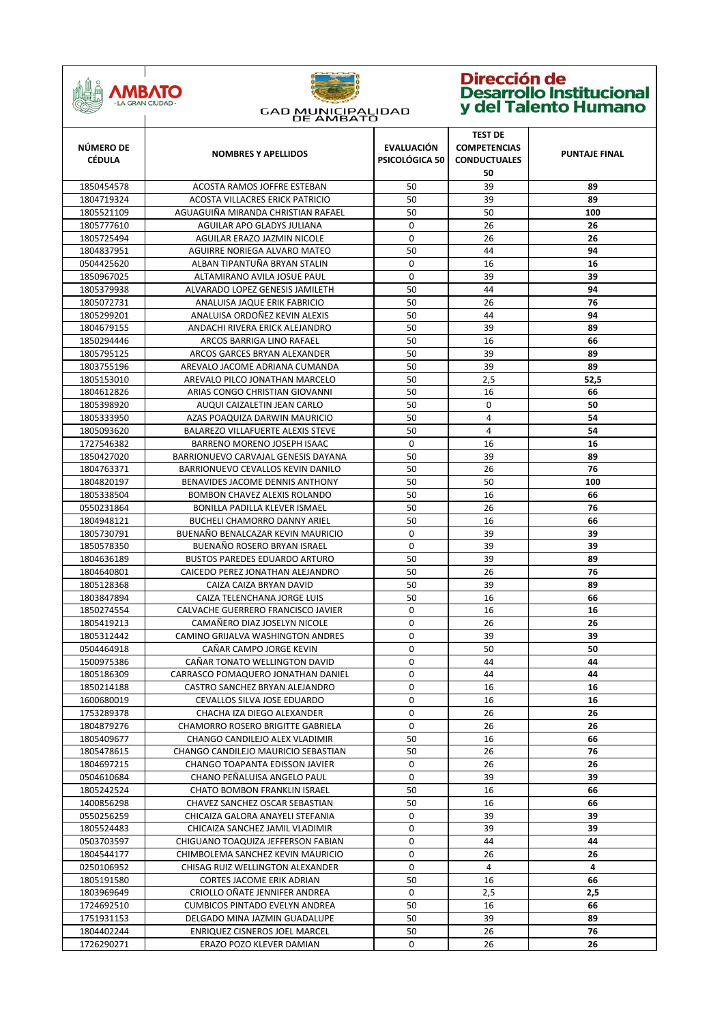

| NÚMERO DE<br><b>CÉDULA</b> | <b>NOMBRES Y APELLIDOS</b>                                    | <b>EVALUACIÓN</b><br>PSICOLÓGICA 50 | <b>TEST DE</b><br><b>COMPETENCIAS</b><br><b>CONDUCTUALES</b><br>50 | <b>PUNTAJE FINAL</b> |
|----------------------------|---------------------------------------------------------------|-------------------------------------|--------------------------------------------------------------------|----------------------|
| 1850454578                 | ACOSTA RAMOS JOFFRE ESTEBAN                                   | 50                                  | 39                                                                 | 89                   |
| 1804719324                 | <b>ACOSTA VILLACRES ERICK PATRICIO</b>                        | 50                                  | 39                                                                 | 89                   |
| 1805521109                 | AGUAGUIÑA MIRANDA CHRISTIAN RAFAEL                            | 50                                  | 50                                                                 | 100                  |
| 1805777610                 | AGUILAR APO GLADYS JULIANA                                    | $\mathbf 0$                         | 26                                                                 | 26                   |
| 1805725494                 | AGUILAR ERAZO JAZMIN NICOLE                                   | 0                                   | 26                                                                 | 26                   |
| 1804837951                 | AGUIRRE NORIEGA ALVARO MATEO                                  | 50                                  | 44                                                                 | 94                   |
| 0504425620                 | ALBAN TIPANTUÑA BRYAN STALIN                                  | 0                                   | 16                                                                 | 16                   |
| 1850967025                 | ALTAMIRANO AVILA JOSUE PAUL                                   | 0                                   | 39                                                                 | 39                   |
| 1805379938                 | ALVARADO LOPEZ GENESIS JAMILETH                               | 50                                  | 44                                                                 | 94                   |
| 1805072731                 | ANALUISA JAQUE ERIK FABRICIO                                  | 50                                  | 26                                                                 | 76                   |
| 1805299201                 | ANALUISA ORDOÑEZ KEVIN ALEXIS                                 | 50                                  | 44                                                                 | 94                   |
| 1804679155                 | ANDACHI RIVERA ERICK ALEJANDRO                                | 50                                  | 39                                                                 | 89                   |
| 1850294446                 | ARCOS BARRIGA LINO RAFAEL                                     | 50                                  | 16                                                                 | 66                   |
| 1805795125                 | ARCOS GARCES BRYAN ALEXANDER                                  | 50                                  | 39                                                                 | 89                   |
| 1803755196                 | AREVALO JACOME ADRIANA CUMANDA                                | 50                                  | 39                                                                 | 89                   |
| 1805153010                 | AREVALO PILCO JONATHAN MARCELO                                | 50                                  | 2,5                                                                | 52,5                 |
| 1804612826                 | ARIAS CONGO CHRISTIAN GIOVANNI                                | 50                                  | 16                                                                 | 66                   |
| 1805398920                 | AUQUI CAIZALETIN JEAN CARLO                                   | 50                                  | 0                                                                  | 50                   |
| 1805333950                 | AZAS POAQUIZA DARWIN MAURICIO                                 | 50                                  | 4                                                                  | 54                   |
| 1805093620                 | BALAREZO VILLAFUERTE ALEXIS STEVE                             | 50                                  | 4                                                                  | 54                   |
| 1727546382                 | BARRENO MORENO JOSEPH ISAAC                                   | 0                                   | 16                                                                 | 16                   |
| 1850427020                 | BARRIONUEVO CARVAJAL GENESIS DAYANA                           | 50                                  | 39                                                                 | 89                   |
| 1804763371                 | BARRIONUEVO CEVALLOS KEVIN DANILO                             | 50                                  | 26                                                                 | 76                   |
| 1804820197                 | BENAVIDES JACOME DENNIS ANTHONY                               | 50                                  | 50                                                                 | 100                  |
| 1805338504                 | BOMBON CHAVEZ ALEXIS ROLANDO                                  | 50                                  | 16                                                                 | 66                   |
| 0550231864                 | BONILLA PADILLA KLEVER ISMAEL                                 | 50                                  | 26                                                                 | 76                   |
| 1804948121                 | <b>BUCHELI CHAMORRO DANNY ARIEL</b>                           | 50                                  | 16                                                                 | 66                   |
| 1805730791                 | BUENAÑO BENALCAZAR KEVIN MAURICIO                             | 0                                   | 39                                                                 | 39                   |
| 1850578350                 | BUENAÑO ROSERO BRYAN ISRAEL                                   | 0                                   | 39                                                                 | 39                   |
| 1804636189                 | <b>BUSTOS PAREDES EDUARDO ARTURO</b>                          | 50                                  | 39                                                                 | 89                   |
| 1804640801                 | CAICEDO PEREZ JONATHAN ALEJANDRO                              | 50                                  | 26                                                                 | 76                   |
| 1805128368                 | CAIZA CAIZA BRYAN DAVID                                       | 50                                  | 39                                                                 | 89                   |
| 1803847894                 | CAIZA TELENCHANA JORGE LUIS                                   | 50                                  | 16                                                                 | 66                   |
| 1850274554                 | CALVACHE GUERRERO FRANCISCO JAVIER                            | $\mathbf 0$                         | 16                                                                 | 16                   |
| 1805419213                 | CAMAÑERO DIAZ JOSELYN NICOLE                                  | $\mathbf 0$                         | 26                                                                 | 26                   |
| 1805312442                 | CAMINO GRIJALVA WASHINGTON ANDRES                             | 0                                   | 39                                                                 | 39                   |
| 0504464918                 | CAÑAR CAMPO JORGE KEVIN                                       | 0                                   | 50                                                                 | 50                   |
| 1500975386                 | CAÑAR TONATO WELLINGTON DAVID                                 | 0                                   | 44                                                                 | 44                   |
| 1805186309                 | CARRASCO POMAQUERO JONATHAN DANIEL                            | 0                                   | 44                                                                 | 44                   |
| 1850214188                 | CASTRO SANCHEZ BRYAN ALEJANDRO                                | 0                                   | 16                                                                 | 16                   |
| 1600680019                 | CEVALLOS SILVA JOSE EDUARDO                                   | 0                                   | 16                                                                 | 16                   |
| 1753289378                 | CHACHA IZA DIEGO ALEXANDER                                    | 0                                   | 26                                                                 | 26                   |
| 1804879276                 | CHAMORRO ROSERO BRIGITTE GABRIELA                             | 0                                   | 26                                                                 | 26                   |
| 1805409677                 | CHANGO CANDILEJO ALEX VLADIMIR                                | 50                                  | 16                                                                 | 66                   |
| 1805478615                 | CHANGO CANDILEJO MAURICIO SEBASTIAN                           | 50                                  | 26                                                                 | 76                   |
| 1804697215                 | CHANGO TOAPANTA EDISSON JAVIER<br>CHANO PEÑALUISA ANGELO PAUL | 0<br>0                              | 26<br>39                                                           | 26<br>39             |
| 0504610684<br>1805242524   | CHATO BOMBON FRANKLIN ISRAEL                                  | 50                                  | 16                                                                 | 66                   |
| 1400856298                 | CHAVEZ SANCHEZ OSCAR SEBASTIAN                                | 50                                  | 16                                                                 | 66                   |
| 0550256259                 | CHICAIZA GALORA ANAYELI STEFANIA                              | 0                                   | 39                                                                 | 39                   |
| 1805524483                 | CHICAIZA SANCHEZ JAMIL VLADIMIR                               | 0                                   | 39                                                                 | 39                   |
| 0503703597                 | CHIGUANO TOAQUIZA JEFFERSON FABIAN                            | 0                                   | 44                                                                 | 44                   |
| 1804544177                 | CHIMBOLEMA SANCHEZ KEVIN MAURICIO                             | 0                                   | 26                                                                 | 26                   |
| 0250106952                 | CHISAG RUIZ WELLINGTON ALEXANDER                              | 0                                   | 4                                                                  | 4                    |
| 1805191580                 | CORTES JACOME ERIK ADRIAN                                     | 50                                  | 16                                                                 | 66                   |
| 1803969649                 | CRIOLLO OÑATE JENNIFER ANDREA                                 | 0                                   | 2,5                                                                | 2,5                  |
| 1724692510                 | CUMBICOS PINTADO EVELYN ANDREA                                | 50                                  | 16                                                                 | 66                   |
| 1751931153                 | DELGADO MINA JAZMIN GUADALUPE                                 | 50                                  | 39                                                                 | 89                   |
| 1804402244                 | ENRIQUEZ CISNEROS JOEL MARCEL                                 | 50                                  | 26                                                                 | 76                   |
| 1726290271                 | ERAZO POZO KLEVER DAMIAN                                      | 0                                   | 26                                                                 | 26                   |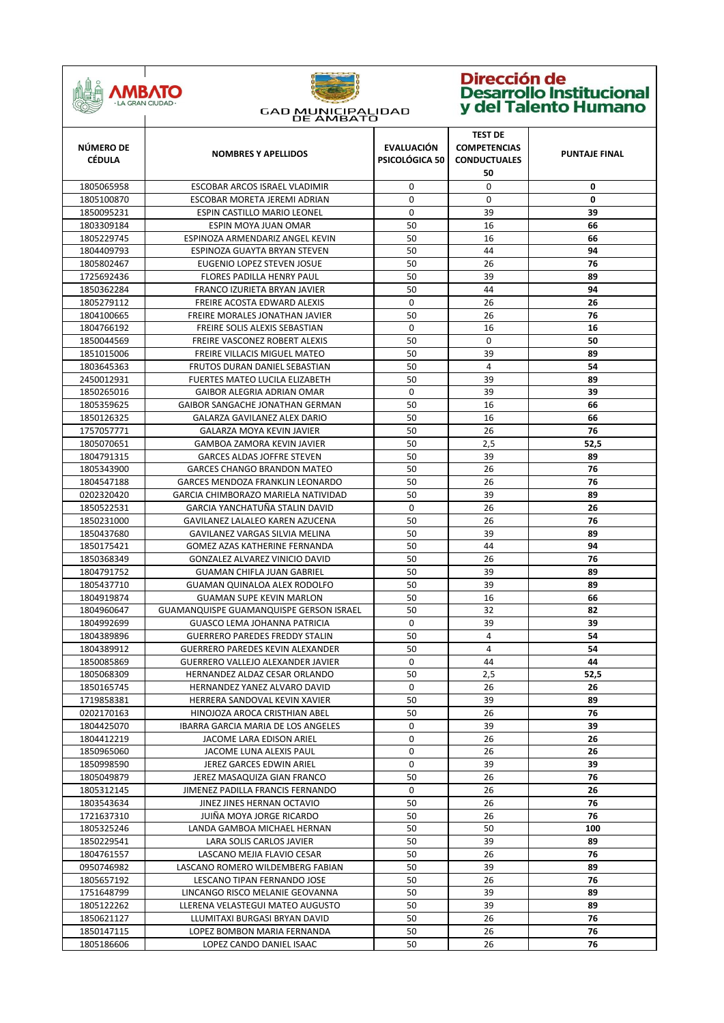

| 1805065958<br>0<br>0<br>0<br>ESCOBAR ARCOS ISRAEL VLADIMIR<br>$\Omega$<br>$\Omega$<br>0<br>1805100870<br>ESCOBAR MORETA JEREMI ADRIAN<br>0<br>39<br>39<br>1850095231<br>ESPIN CASTILLO MARIO LEONEL<br>50<br>16<br>66<br>1803309184<br>ESPIN MOYA JUAN OMAR<br>50<br>16<br>1805229745<br>ESPINOZA ARMENDARIZ ANGEL KEVIN<br>66<br>50<br>44<br>1804409793<br>ESPINOZA GUAYTA BRYAN STEVEN<br>94<br>50<br>26<br>76<br>1805802467<br>EUGENIO LOPEZ STEVEN JOSUE<br>50<br>39<br>1725692436<br>FLORES PADILLA HENRY PAUL<br>89<br>50<br>44<br>1850362284<br>FRANCO IZURIETA BRYAN JAVIER<br>94<br>0<br>1805279112<br>FREIRE ACOSTA EDWARD ALEXIS<br>26<br>26<br>50<br>26<br>76<br>1804100665<br>FREIRE MORALES JONATHAN JAVIER<br>16<br>0<br>16<br>1804766192<br>FREIRE SOLIS ALEXIS SEBASTIAN<br>50<br>0<br>50<br>1850044569<br>FREIRE VASCONEZ ROBERT ALEXIS<br>FREIRE VILLACIS MIGUEL MATEO<br>50<br>39<br>1851015006<br>89<br>50<br>4<br>1803645363<br>FRUTOS DURAN DANIEL SEBASTIAN<br>54<br>50<br>39<br>89<br>2450012931<br><b>FUERTES MATEO LUCILA ELIZABETH</b><br>0<br>39<br>39<br>1850265016<br>GAIBOR ALEGRIA ADRIAN OMAR<br>50<br>16<br>1805359625<br>GAIBOR SANGACHE JONATHAN GERMAN<br>66<br>50<br>16<br>1850126325<br>GALARZA GAVILANEZ ALEX DARIO<br>66<br>50<br>26<br>76<br>1757057771<br><b>GALARZA MOYA KEVIN JAVIER</b><br>50<br>2,5<br>1805070651<br><b>GAMBOA ZAMORA KEVIN JAVIER</b><br>52,5<br>50<br>39<br>1804791315<br><b>GARCES ALDAS JOFFRE STEVEN</b><br>89<br>50<br>26<br>76<br>1805343900<br><b>GARCES CHANGO BRANDON MATEO</b><br>50<br>26<br>76<br>1804547188<br>GARCES MENDOZA FRANKLIN LEONARDO<br>50<br>39<br>89<br>0202320420<br>GARCIA CHIMBORAZO MARIELA NATIVIDAD<br>$\mathbf 0$<br>26<br>GARCIA YANCHATUÑA STALIN DAVID<br>26<br>1850522531<br>50<br>26<br>76<br>1850231000<br>GAVILANEZ LALALEO KAREN AZUCENA<br>50<br>39<br>89<br>1850437680<br>GAVILANEZ VARGAS SILVIA MELINA<br>50<br>44<br>94<br>1850175421<br>GOMEZ AZAS KATHERINE FERNANDA<br>50<br>26<br>76<br>1850368349<br>GONZALEZ ALVAREZ VINICIO DAVID<br>50<br>1804791752<br><b>GUAMAN CHIFLA JUAN GABRIEL</b><br>39<br>89<br>50<br>1805437710<br>GUAMAN QUINALOA ALEX RODOLFO<br>39<br>89<br>50<br>16<br>1804919874<br><b>GUAMAN SUPE KEVIN MARLON</b><br>66<br>50<br>32<br>1804960647<br><b>GUAMANQUISPE GUAMANQUISPE GERSON ISRAEL</b><br>82<br>0<br>39<br>1804992699<br><b>GUASCO LEMA JOHANNA PATRICIA</b><br>39<br>50<br>4<br>54<br>1804389896<br><b>GUERRERO PAREDES FREDDY STALIN</b><br>50<br>4<br>54<br>1804389912<br><b>GUERRERO PAREDES KEVIN ALEXANDER</b><br>0<br>44<br>44<br>1850085869<br><b>GUERRERO VALLEJO ALEXANDER JAVIER</b><br>1805068309<br>HERNANDEZ ALDAZ CESAR ORLANDO<br>50<br>52,5<br>2,5<br>1850165745<br>HERNANDEZ YANEZ ALVARO DAVID<br>0<br>26<br>26<br>50<br>39<br>89<br>1719858381<br>HERRERA SANDOVAL KEVIN XAVIER<br>50<br>26<br>76<br>0202170163<br>HINOJOZA AROCA CRISTHIAN ABEL<br>0<br>39<br>1804425070<br>IBARRA GARCIA MARIA DE LOS ANGELES<br>39<br>1804412219<br>JACOME LARA EDISON ARIEL<br>0<br>26<br>26<br>0<br>26<br>1850965060<br>26<br>JACOME LUNA ALEXIS PAUL<br>JEREZ GARCES EDWIN ARIEL<br>0<br>39<br>1850998590<br>39<br>JEREZ MASAQUIZA GIAN FRANCO<br>50<br>26<br>76<br>1805049879<br>JIMENEZ PADILLA FRANCIS FERNANDO<br>26<br>26<br>1805312145<br>0<br>50<br>26<br>76<br>1803543634<br>JINEZ JINES HERNAN OCTAVIO<br>50<br>26<br>76<br>1721637310<br>JUIÑA MOYA JORGE RICARDO<br>50<br>50<br>1805325246<br>LANDA GAMBOA MICHAEL HERNAN<br>100<br>50<br>1850229541<br>LARA SOLIS CARLOS JAVIER<br>39<br>89<br>50<br>26<br>LASCANO MEJIA FLAVIO CESAR<br>76<br>1804761557<br>50<br>39<br>0950746982<br>LASCANO ROMERO WILDEMBERG FABIAN<br>89<br>50<br>26<br>76<br>1805657192<br>LESCANO TIPAN FERNANDO JOSE<br>LINCANGO RISCO MELANIE GEOVANNA<br>50<br>1751648799<br>39<br>89<br>50<br>1805122262<br>LLERENA VELASTEGUI MATEO AUGUSTO<br>39<br>89<br>50<br>26<br>76<br>1850621127<br>LLUMITAXI BURGASI BRYAN DAVID<br>50<br>26<br>1850147115<br>76<br>LOPEZ BOMBON MARIA FERNANDA<br>1805186606<br>LOPEZ CANDO DANIEL ISAAC<br>50<br>26<br>76 | NÚMERO DE<br><b>CÉDULA</b> | <b>NOMBRES Y APELLIDOS</b> | <b>EVALUACIÓN</b><br>PSICOLÓGICA 50 | <b>TEST DE</b><br><b>COMPETENCIAS</b><br><b>CONDUCTUALES</b><br>50 | <b>PUNTAJE FINAL</b> |
|------------------------------------------------------------------------------------------------------------------------------------------------------------------------------------------------------------------------------------------------------------------------------------------------------------------------------------------------------------------------------------------------------------------------------------------------------------------------------------------------------------------------------------------------------------------------------------------------------------------------------------------------------------------------------------------------------------------------------------------------------------------------------------------------------------------------------------------------------------------------------------------------------------------------------------------------------------------------------------------------------------------------------------------------------------------------------------------------------------------------------------------------------------------------------------------------------------------------------------------------------------------------------------------------------------------------------------------------------------------------------------------------------------------------------------------------------------------------------------------------------------------------------------------------------------------------------------------------------------------------------------------------------------------------------------------------------------------------------------------------------------------------------------------------------------------------------------------------------------------------------------------------------------------------------------------------------------------------------------------------------------------------------------------------------------------------------------------------------------------------------------------------------------------------------------------------------------------------------------------------------------------------------------------------------------------------------------------------------------------------------------------------------------------------------------------------------------------------------------------------------------------------------------------------------------------------------------------------------------------------------------------------------------------------------------------------------------------------------------------------------------------------------------------------------------------------------------------------------------------------------------------------------------------------------------------------------------------------------------------------------------------------------------------------------------------------------------------------------------------------------------------------------------------------------------------------------------------------------------------------------------------------------------------------------------------------------------------------------------------------------------------------------------------------------------------------------------------------------------------------------------------------------------------------------------------------------------------------------------------------------------------------------------------------------------------------------------------------------------------------------------------------------------------------------------------------------------------------------------------------------------------------------------------------------------------------------------------------------------------------------------------------------------------------------------------------------------------------------------|----------------------------|----------------------------|-------------------------------------|--------------------------------------------------------------------|----------------------|
|                                                                                                                                                                                                                                                                                                                                                                                                                                                                                                                                                                                                                                                                                                                                                                                                                                                                                                                                                                                                                                                                                                                                                                                                                                                                                                                                                                                                                                                                                                                                                                                                                                                                                                                                                                                                                                                                                                                                                                                                                                                                                                                                                                                                                                                                                                                                                                                                                                                                                                                                                                                                                                                                                                                                                                                                                                                                                                                                                                                                                                                                                                                                                                                                                                                                                                                                                                                                                                                                                                                                                                                                                                                                                                                                                                                                                                                                                                                                                                                                                                                                                                            |                            |                            |                                     |                                                                    |                      |
|                                                                                                                                                                                                                                                                                                                                                                                                                                                                                                                                                                                                                                                                                                                                                                                                                                                                                                                                                                                                                                                                                                                                                                                                                                                                                                                                                                                                                                                                                                                                                                                                                                                                                                                                                                                                                                                                                                                                                                                                                                                                                                                                                                                                                                                                                                                                                                                                                                                                                                                                                                                                                                                                                                                                                                                                                                                                                                                                                                                                                                                                                                                                                                                                                                                                                                                                                                                                                                                                                                                                                                                                                                                                                                                                                                                                                                                                                                                                                                                                                                                                                                            |                            |                            |                                     |                                                                    |                      |
|                                                                                                                                                                                                                                                                                                                                                                                                                                                                                                                                                                                                                                                                                                                                                                                                                                                                                                                                                                                                                                                                                                                                                                                                                                                                                                                                                                                                                                                                                                                                                                                                                                                                                                                                                                                                                                                                                                                                                                                                                                                                                                                                                                                                                                                                                                                                                                                                                                                                                                                                                                                                                                                                                                                                                                                                                                                                                                                                                                                                                                                                                                                                                                                                                                                                                                                                                                                                                                                                                                                                                                                                                                                                                                                                                                                                                                                                                                                                                                                                                                                                                                            |                            |                            |                                     |                                                                    |                      |
|                                                                                                                                                                                                                                                                                                                                                                                                                                                                                                                                                                                                                                                                                                                                                                                                                                                                                                                                                                                                                                                                                                                                                                                                                                                                                                                                                                                                                                                                                                                                                                                                                                                                                                                                                                                                                                                                                                                                                                                                                                                                                                                                                                                                                                                                                                                                                                                                                                                                                                                                                                                                                                                                                                                                                                                                                                                                                                                                                                                                                                                                                                                                                                                                                                                                                                                                                                                                                                                                                                                                                                                                                                                                                                                                                                                                                                                                                                                                                                                                                                                                                                            |                            |                            |                                     |                                                                    |                      |
|                                                                                                                                                                                                                                                                                                                                                                                                                                                                                                                                                                                                                                                                                                                                                                                                                                                                                                                                                                                                                                                                                                                                                                                                                                                                                                                                                                                                                                                                                                                                                                                                                                                                                                                                                                                                                                                                                                                                                                                                                                                                                                                                                                                                                                                                                                                                                                                                                                                                                                                                                                                                                                                                                                                                                                                                                                                                                                                                                                                                                                                                                                                                                                                                                                                                                                                                                                                                                                                                                                                                                                                                                                                                                                                                                                                                                                                                                                                                                                                                                                                                                                            |                            |                            |                                     |                                                                    |                      |
|                                                                                                                                                                                                                                                                                                                                                                                                                                                                                                                                                                                                                                                                                                                                                                                                                                                                                                                                                                                                                                                                                                                                                                                                                                                                                                                                                                                                                                                                                                                                                                                                                                                                                                                                                                                                                                                                                                                                                                                                                                                                                                                                                                                                                                                                                                                                                                                                                                                                                                                                                                                                                                                                                                                                                                                                                                                                                                                                                                                                                                                                                                                                                                                                                                                                                                                                                                                                                                                                                                                                                                                                                                                                                                                                                                                                                                                                                                                                                                                                                                                                                                            |                            |                            |                                     |                                                                    |                      |
|                                                                                                                                                                                                                                                                                                                                                                                                                                                                                                                                                                                                                                                                                                                                                                                                                                                                                                                                                                                                                                                                                                                                                                                                                                                                                                                                                                                                                                                                                                                                                                                                                                                                                                                                                                                                                                                                                                                                                                                                                                                                                                                                                                                                                                                                                                                                                                                                                                                                                                                                                                                                                                                                                                                                                                                                                                                                                                                                                                                                                                                                                                                                                                                                                                                                                                                                                                                                                                                                                                                                                                                                                                                                                                                                                                                                                                                                                                                                                                                                                                                                                                            |                            |                            |                                     |                                                                    |                      |
|                                                                                                                                                                                                                                                                                                                                                                                                                                                                                                                                                                                                                                                                                                                                                                                                                                                                                                                                                                                                                                                                                                                                                                                                                                                                                                                                                                                                                                                                                                                                                                                                                                                                                                                                                                                                                                                                                                                                                                                                                                                                                                                                                                                                                                                                                                                                                                                                                                                                                                                                                                                                                                                                                                                                                                                                                                                                                                                                                                                                                                                                                                                                                                                                                                                                                                                                                                                                                                                                                                                                                                                                                                                                                                                                                                                                                                                                                                                                                                                                                                                                                                            |                            |                            |                                     |                                                                    |                      |
|                                                                                                                                                                                                                                                                                                                                                                                                                                                                                                                                                                                                                                                                                                                                                                                                                                                                                                                                                                                                                                                                                                                                                                                                                                                                                                                                                                                                                                                                                                                                                                                                                                                                                                                                                                                                                                                                                                                                                                                                                                                                                                                                                                                                                                                                                                                                                                                                                                                                                                                                                                                                                                                                                                                                                                                                                                                                                                                                                                                                                                                                                                                                                                                                                                                                                                                                                                                                                                                                                                                                                                                                                                                                                                                                                                                                                                                                                                                                                                                                                                                                                                            |                            |                            |                                     |                                                                    |                      |
|                                                                                                                                                                                                                                                                                                                                                                                                                                                                                                                                                                                                                                                                                                                                                                                                                                                                                                                                                                                                                                                                                                                                                                                                                                                                                                                                                                                                                                                                                                                                                                                                                                                                                                                                                                                                                                                                                                                                                                                                                                                                                                                                                                                                                                                                                                                                                                                                                                                                                                                                                                                                                                                                                                                                                                                                                                                                                                                                                                                                                                                                                                                                                                                                                                                                                                                                                                                                                                                                                                                                                                                                                                                                                                                                                                                                                                                                                                                                                                                                                                                                                                            |                            |                            |                                     |                                                                    |                      |
|                                                                                                                                                                                                                                                                                                                                                                                                                                                                                                                                                                                                                                                                                                                                                                                                                                                                                                                                                                                                                                                                                                                                                                                                                                                                                                                                                                                                                                                                                                                                                                                                                                                                                                                                                                                                                                                                                                                                                                                                                                                                                                                                                                                                                                                                                                                                                                                                                                                                                                                                                                                                                                                                                                                                                                                                                                                                                                                                                                                                                                                                                                                                                                                                                                                                                                                                                                                                                                                                                                                                                                                                                                                                                                                                                                                                                                                                                                                                                                                                                                                                                                            |                            |                            |                                     |                                                                    |                      |
|                                                                                                                                                                                                                                                                                                                                                                                                                                                                                                                                                                                                                                                                                                                                                                                                                                                                                                                                                                                                                                                                                                                                                                                                                                                                                                                                                                                                                                                                                                                                                                                                                                                                                                                                                                                                                                                                                                                                                                                                                                                                                                                                                                                                                                                                                                                                                                                                                                                                                                                                                                                                                                                                                                                                                                                                                                                                                                                                                                                                                                                                                                                                                                                                                                                                                                                                                                                                                                                                                                                                                                                                                                                                                                                                                                                                                                                                                                                                                                                                                                                                                                            |                            |                            |                                     |                                                                    |                      |
|                                                                                                                                                                                                                                                                                                                                                                                                                                                                                                                                                                                                                                                                                                                                                                                                                                                                                                                                                                                                                                                                                                                                                                                                                                                                                                                                                                                                                                                                                                                                                                                                                                                                                                                                                                                                                                                                                                                                                                                                                                                                                                                                                                                                                                                                                                                                                                                                                                                                                                                                                                                                                                                                                                                                                                                                                                                                                                                                                                                                                                                                                                                                                                                                                                                                                                                                                                                                                                                                                                                                                                                                                                                                                                                                                                                                                                                                                                                                                                                                                                                                                                            |                            |                            |                                     |                                                                    |                      |
|                                                                                                                                                                                                                                                                                                                                                                                                                                                                                                                                                                                                                                                                                                                                                                                                                                                                                                                                                                                                                                                                                                                                                                                                                                                                                                                                                                                                                                                                                                                                                                                                                                                                                                                                                                                                                                                                                                                                                                                                                                                                                                                                                                                                                                                                                                                                                                                                                                                                                                                                                                                                                                                                                                                                                                                                                                                                                                                                                                                                                                                                                                                                                                                                                                                                                                                                                                                                                                                                                                                                                                                                                                                                                                                                                                                                                                                                                                                                                                                                                                                                                                            |                            |                            |                                     |                                                                    |                      |
|                                                                                                                                                                                                                                                                                                                                                                                                                                                                                                                                                                                                                                                                                                                                                                                                                                                                                                                                                                                                                                                                                                                                                                                                                                                                                                                                                                                                                                                                                                                                                                                                                                                                                                                                                                                                                                                                                                                                                                                                                                                                                                                                                                                                                                                                                                                                                                                                                                                                                                                                                                                                                                                                                                                                                                                                                                                                                                                                                                                                                                                                                                                                                                                                                                                                                                                                                                                                                                                                                                                                                                                                                                                                                                                                                                                                                                                                                                                                                                                                                                                                                                            |                            |                            |                                     |                                                                    |                      |
|                                                                                                                                                                                                                                                                                                                                                                                                                                                                                                                                                                                                                                                                                                                                                                                                                                                                                                                                                                                                                                                                                                                                                                                                                                                                                                                                                                                                                                                                                                                                                                                                                                                                                                                                                                                                                                                                                                                                                                                                                                                                                                                                                                                                                                                                                                                                                                                                                                                                                                                                                                                                                                                                                                                                                                                                                                                                                                                                                                                                                                                                                                                                                                                                                                                                                                                                                                                                                                                                                                                                                                                                                                                                                                                                                                                                                                                                                                                                                                                                                                                                                                            |                            |                            |                                     |                                                                    |                      |
|                                                                                                                                                                                                                                                                                                                                                                                                                                                                                                                                                                                                                                                                                                                                                                                                                                                                                                                                                                                                                                                                                                                                                                                                                                                                                                                                                                                                                                                                                                                                                                                                                                                                                                                                                                                                                                                                                                                                                                                                                                                                                                                                                                                                                                                                                                                                                                                                                                                                                                                                                                                                                                                                                                                                                                                                                                                                                                                                                                                                                                                                                                                                                                                                                                                                                                                                                                                                                                                                                                                                                                                                                                                                                                                                                                                                                                                                                                                                                                                                                                                                                                            |                            |                            |                                     |                                                                    |                      |
|                                                                                                                                                                                                                                                                                                                                                                                                                                                                                                                                                                                                                                                                                                                                                                                                                                                                                                                                                                                                                                                                                                                                                                                                                                                                                                                                                                                                                                                                                                                                                                                                                                                                                                                                                                                                                                                                                                                                                                                                                                                                                                                                                                                                                                                                                                                                                                                                                                                                                                                                                                                                                                                                                                                                                                                                                                                                                                                                                                                                                                                                                                                                                                                                                                                                                                                                                                                                                                                                                                                                                                                                                                                                                                                                                                                                                                                                                                                                                                                                                                                                                                            |                            |                            |                                     |                                                                    |                      |
|                                                                                                                                                                                                                                                                                                                                                                                                                                                                                                                                                                                                                                                                                                                                                                                                                                                                                                                                                                                                                                                                                                                                                                                                                                                                                                                                                                                                                                                                                                                                                                                                                                                                                                                                                                                                                                                                                                                                                                                                                                                                                                                                                                                                                                                                                                                                                                                                                                                                                                                                                                                                                                                                                                                                                                                                                                                                                                                                                                                                                                                                                                                                                                                                                                                                                                                                                                                                                                                                                                                                                                                                                                                                                                                                                                                                                                                                                                                                                                                                                                                                                                            |                            |                            |                                     |                                                                    |                      |
|                                                                                                                                                                                                                                                                                                                                                                                                                                                                                                                                                                                                                                                                                                                                                                                                                                                                                                                                                                                                                                                                                                                                                                                                                                                                                                                                                                                                                                                                                                                                                                                                                                                                                                                                                                                                                                                                                                                                                                                                                                                                                                                                                                                                                                                                                                                                                                                                                                                                                                                                                                                                                                                                                                                                                                                                                                                                                                                                                                                                                                                                                                                                                                                                                                                                                                                                                                                                                                                                                                                                                                                                                                                                                                                                                                                                                                                                                                                                                                                                                                                                                                            |                            |                            |                                     |                                                                    |                      |
|                                                                                                                                                                                                                                                                                                                                                                                                                                                                                                                                                                                                                                                                                                                                                                                                                                                                                                                                                                                                                                                                                                                                                                                                                                                                                                                                                                                                                                                                                                                                                                                                                                                                                                                                                                                                                                                                                                                                                                                                                                                                                                                                                                                                                                                                                                                                                                                                                                                                                                                                                                                                                                                                                                                                                                                                                                                                                                                                                                                                                                                                                                                                                                                                                                                                                                                                                                                                                                                                                                                                                                                                                                                                                                                                                                                                                                                                                                                                                                                                                                                                                                            |                            |                            |                                     |                                                                    |                      |
|                                                                                                                                                                                                                                                                                                                                                                                                                                                                                                                                                                                                                                                                                                                                                                                                                                                                                                                                                                                                                                                                                                                                                                                                                                                                                                                                                                                                                                                                                                                                                                                                                                                                                                                                                                                                                                                                                                                                                                                                                                                                                                                                                                                                                                                                                                                                                                                                                                                                                                                                                                                                                                                                                                                                                                                                                                                                                                                                                                                                                                                                                                                                                                                                                                                                                                                                                                                                                                                                                                                                                                                                                                                                                                                                                                                                                                                                                                                                                                                                                                                                                                            |                            |                            |                                     |                                                                    |                      |
|                                                                                                                                                                                                                                                                                                                                                                                                                                                                                                                                                                                                                                                                                                                                                                                                                                                                                                                                                                                                                                                                                                                                                                                                                                                                                                                                                                                                                                                                                                                                                                                                                                                                                                                                                                                                                                                                                                                                                                                                                                                                                                                                                                                                                                                                                                                                                                                                                                                                                                                                                                                                                                                                                                                                                                                                                                                                                                                                                                                                                                                                                                                                                                                                                                                                                                                                                                                                                                                                                                                                                                                                                                                                                                                                                                                                                                                                                                                                                                                                                                                                                                            |                            |                            |                                     |                                                                    |                      |
|                                                                                                                                                                                                                                                                                                                                                                                                                                                                                                                                                                                                                                                                                                                                                                                                                                                                                                                                                                                                                                                                                                                                                                                                                                                                                                                                                                                                                                                                                                                                                                                                                                                                                                                                                                                                                                                                                                                                                                                                                                                                                                                                                                                                                                                                                                                                                                                                                                                                                                                                                                                                                                                                                                                                                                                                                                                                                                                                                                                                                                                                                                                                                                                                                                                                                                                                                                                                                                                                                                                                                                                                                                                                                                                                                                                                                                                                                                                                                                                                                                                                                                            |                            |                            |                                     |                                                                    |                      |
|                                                                                                                                                                                                                                                                                                                                                                                                                                                                                                                                                                                                                                                                                                                                                                                                                                                                                                                                                                                                                                                                                                                                                                                                                                                                                                                                                                                                                                                                                                                                                                                                                                                                                                                                                                                                                                                                                                                                                                                                                                                                                                                                                                                                                                                                                                                                                                                                                                                                                                                                                                                                                                                                                                                                                                                                                                                                                                                                                                                                                                                                                                                                                                                                                                                                                                                                                                                                                                                                                                                                                                                                                                                                                                                                                                                                                                                                                                                                                                                                                                                                                                            |                            |                            |                                     |                                                                    |                      |
|                                                                                                                                                                                                                                                                                                                                                                                                                                                                                                                                                                                                                                                                                                                                                                                                                                                                                                                                                                                                                                                                                                                                                                                                                                                                                                                                                                                                                                                                                                                                                                                                                                                                                                                                                                                                                                                                                                                                                                                                                                                                                                                                                                                                                                                                                                                                                                                                                                                                                                                                                                                                                                                                                                                                                                                                                                                                                                                                                                                                                                                                                                                                                                                                                                                                                                                                                                                                                                                                                                                                                                                                                                                                                                                                                                                                                                                                                                                                                                                                                                                                                                            |                            |                            |                                     |                                                                    |                      |
|                                                                                                                                                                                                                                                                                                                                                                                                                                                                                                                                                                                                                                                                                                                                                                                                                                                                                                                                                                                                                                                                                                                                                                                                                                                                                                                                                                                                                                                                                                                                                                                                                                                                                                                                                                                                                                                                                                                                                                                                                                                                                                                                                                                                                                                                                                                                                                                                                                                                                                                                                                                                                                                                                                                                                                                                                                                                                                                                                                                                                                                                                                                                                                                                                                                                                                                                                                                                                                                                                                                                                                                                                                                                                                                                                                                                                                                                                                                                                                                                                                                                                                            |                            |                            |                                     |                                                                    |                      |
|                                                                                                                                                                                                                                                                                                                                                                                                                                                                                                                                                                                                                                                                                                                                                                                                                                                                                                                                                                                                                                                                                                                                                                                                                                                                                                                                                                                                                                                                                                                                                                                                                                                                                                                                                                                                                                                                                                                                                                                                                                                                                                                                                                                                                                                                                                                                                                                                                                                                                                                                                                                                                                                                                                                                                                                                                                                                                                                                                                                                                                                                                                                                                                                                                                                                                                                                                                                                                                                                                                                                                                                                                                                                                                                                                                                                                                                                                                                                                                                                                                                                                                            |                            |                            |                                     |                                                                    |                      |
|                                                                                                                                                                                                                                                                                                                                                                                                                                                                                                                                                                                                                                                                                                                                                                                                                                                                                                                                                                                                                                                                                                                                                                                                                                                                                                                                                                                                                                                                                                                                                                                                                                                                                                                                                                                                                                                                                                                                                                                                                                                                                                                                                                                                                                                                                                                                                                                                                                                                                                                                                                                                                                                                                                                                                                                                                                                                                                                                                                                                                                                                                                                                                                                                                                                                                                                                                                                                                                                                                                                                                                                                                                                                                                                                                                                                                                                                                                                                                                                                                                                                                                            |                            |                            |                                     |                                                                    |                      |
|                                                                                                                                                                                                                                                                                                                                                                                                                                                                                                                                                                                                                                                                                                                                                                                                                                                                                                                                                                                                                                                                                                                                                                                                                                                                                                                                                                                                                                                                                                                                                                                                                                                                                                                                                                                                                                                                                                                                                                                                                                                                                                                                                                                                                                                                                                                                                                                                                                                                                                                                                                                                                                                                                                                                                                                                                                                                                                                                                                                                                                                                                                                                                                                                                                                                                                                                                                                                                                                                                                                                                                                                                                                                                                                                                                                                                                                                                                                                                                                                                                                                                                            |                            |                            |                                     |                                                                    |                      |
|                                                                                                                                                                                                                                                                                                                                                                                                                                                                                                                                                                                                                                                                                                                                                                                                                                                                                                                                                                                                                                                                                                                                                                                                                                                                                                                                                                                                                                                                                                                                                                                                                                                                                                                                                                                                                                                                                                                                                                                                                                                                                                                                                                                                                                                                                                                                                                                                                                                                                                                                                                                                                                                                                                                                                                                                                                                                                                                                                                                                                                                                                                                                                                                                                                                                                                                                                                                                                                                                                                                                                                                                                                                                                                                                                                                                                                                                                                                                                                                                                                                                                                            |                            |                            |                                     |                                                                    |                      |
|                                                                                                                                                                                                                                                                                                                                                                                                                                                                                                                                                                                                                                                                                                                                                                                                                                                                                                                                                                                                                                                                                                                                                                                                                                                                                                                                                                                                                                                                                                                                                                                                                                                                                                                                                                                                                                                                                                                                                                                                                                                                                                                                                                                                                                                                                                                                                                                                                                                                                                                                                                                                                                                                                                                                                                                                                                                                                                                                                                                                                                                                                                                                                                                                                                                                                                                                                                                                                                                                                                                                                                                                                                                                                                                                                                                                                                                                                                                                                                                                                                                                                                            |                            |                            |                                     |                                                                    |                      |
|                                                                                                                                                                                                                                                                                                                                                                                                                                                                                                                                                                                                                                                                                                                                                                                                                                                                                                                                                                                                                                                                                                                                                                                                                                                                                                                                                                                                                                                                                                                                                                                                                                                                                                                                                                                                                                                                                                                                                                                                                                                                                                                                                                                                                                                                                                                                                                                                                                                                                                                                                                                                                                                                                                                                                                                                                                                                                                                                                                                                                                                                                                                                                                                                                                                                                                                                                                                                                                                                                                                                                                                                                                                                                                                                                                                                                                                                                                                                                                                                                                                                                                            |                            |                            |                                     |                                                                    |                      |
|                                                                                                                                                                                                                                                                                                                                                                                                                                                                                                                                                                                                                                                                                                                                                                                                                                                                                                                                                                                                                                                                                                                                                                                                                                                                                                                                                                                                                                                                                                                                                                                                                                                                                                                                                                                                                                                                                                                                                                                                                                                                                                                                                                                                                                                                                                                                                                                                                                                                                                                                                                                                                                                                                                                                                                                                                                                                                                                                                                                                                                                                                                                                                                                                                                                                                                                                                                                                                                                                                                                                                                                                                                                                                                                                                                                                                                                                                                                                                                                                                                                                                                            |                            |                            |                                     |                                                                    |                      |
|                                                                                                                                                                                                                                                                                                                                                                                                                                                                                                                                                                                                                                                                                                                                                                                                                                                                                                                                                                                                                                                                                                                                                                                                                                                                                                                                                                                                                                                                                                                                                                                                                                                                                                                                                                                                                                                                                                                                                                                                                                                                                                                                                                                                                                                                                                                                                                                                                                                                                                                                                                                                                                                                                                                                                                                                                                                                                                                                                                                                                                                                                                                                                                                                                                                                                                                                                                                                                                                                                                                                                                                                                                                                                                                                                                                                                                                                                                                                                                                                                                                                                                            |                            |                            |                                     |                                                                    |                      |
|                                                                                                                                                                                                                                                                                                                                                                                                                                                                                                                                                                                                                                                                                                                                                                                                                                                                                                                                                                                                                                                                                                                                                                                                                                                                                                                                                                                                                                                                                                                                                                                                                                                                                                                                                                                                                                                                                                                                                                                                                                                                                                                                                                                                                                                                                                                                                                                                                                                                                                                                                                                                                                                                                                                                                                                                                                                                                                                                                                                                                                                                                                                                                                                                                                                                                                                                                                                                                                                                                                                                                                                                                                                                                                                                                                                                                                                                                                                                                                                                                                                                                                            |                            |                            |                                     |                                                                    |                      |
|                                                                                                                                                                                                                                                                                                                                                                                                                                                                                                                                                                                                                                                                                                                                                                                                                                                                                                                                                                                                                                                                                                                                                                                                                                                                                                                                                                                                                                                                                                                                                                                                                                                                                                                                                                                                                                                                                                                                                                                                                                                                                                                                                                                                                                                                                                                                                                                                                                                                                                                                                                                                                                                                                                                                                                                                                                                                                                                                                                                                                                                                                                                                                                                                                                                                                                                                                                                                                                                                                                                                                                                                                                                                                                                                                                                                                                                                                                                                                                                                                                                                                                            |                            |                            |                                     |                                                                    |                      |
|                                                                                                                                                                                                                                                                                                                                                                                                                                                                                                                                                                                                                                                                                                                                                                                                                                                                                                                                                                                                                                                                                                                                                                                                                                                                                                                                                                                                                                                                                                                                                                                                                                                                                                                                                                                                                                                                                                                                                                                                                                                                                                                                                                                                                                                                                                                                                                                                                                                                                                                                                                                                                                                                                                                                                                                                                                                                                                                                                                                                                                                                                                                                                                                                                                                                                                                                                                                                                                                                                                                                                                                                                                                                                                                                                                                                                                                                                                                                                                                                                                                                                                            |                            |                            |                                     |                                                                    |                      |
|                                                                                                                                                                                                                                                                                                                                                                                                                                                                                                                                                                                                                                                                                                                                                                                                                                                                                                                                                                                                                                                                                                                                                                                                                                                                                                                                                                                                                                                                                                                                                                                                                                                                                                                                                                                                                                                                                                                                                                                                                                                                                                                                                                                                                                                                                                                                                                                                                                                                                                                                                                                                                                                                                                                                                                                                                                                                                                                                                                                                                                                                                                                                                                                                                                                                                                                                                                                                                                                                                                                                                                                                                                                                                                                                                                                                                                                                                                                                                                                                                                                                                                            |                            |                            |                                     |                                                                    |                      |
|                                                                                                                                                                                                                                                                                                                                                                                                                                                                                                                                                                                                                                                                                                                                                                                                                                                                                                                                                                                                                                                                                                                                                                                                                                                                                                                                                                                                                                                                                                                                                                                                                                                                                                                                                                                                                                                                                                                                                                                                                                                                                                                                                                                                                                                                                                                                                                                                                                                                                                                                                                                                                                                                                                                                                                                                                                                                                                                                                                                                                                                                                                                                                                                                                                                                                                                                                                                                                                                                                                                                                                                                                                                                                                                                                                                                                                                                                                                                                                                                                                                                                                            |                            |                            |                                     |                                                                    |                      |
|                                                                                                                                                                                                                                                                                                                                                                                                                                                                                                                                                                                                                                                                                                                                                                                                                                                                                                                                                                                                                                                                                                                                                                                                                                                                                                                                                                                                                                                                                                                                                                                                                                                                                                                                                                                                                                                                                                                                                                                                                                                                                                                                                                                                                                                                                                                                                                                                                                                                                                                                                                                                                                                                                                                                                                                                                                                                                                                                                                                                                                                                                                                                                                                                                                                                                                                                                                                                                                                                                                                                                                                                                                                                                                                                                                                                                                                                                                                                                                                                                                                                                                            |                            |                            |                                     |                                                                    |                      |
|                                                                                                                                                                                                                                                                                                                                                                                                                                                                                                                                                                                                                                                                                                                                                                                                                                                                                                                                                                                                                                                                                                                                                                                                                                                                                                                                                                                                                                                                                                                                                                                                                                                                                                                                                                                                                                                                                                                                                                                                                                                                                                                                                                                                                                                                                                                                                                                                                                                                                                                                                                                                                                                                                                                                                                                                                                                                                                                                                                                                                                                                                                                                                                                                                                                                                                                                                                                                                                                                                                                                                                                                                                                                                                                                                                                                                                                                                                                                                                                                                                                                                                            |                            |                            |                                     |                                                                    |                      |
|                                                                                                                                                                                                                                                                                                                                                                                                                                                                                                                                                                                                                                                                                                                                                                                                                                                                                                                                                                                                                                                                                                                                                                                                                                                                                                                                                                                                                                                                                                                                                                                                                                                                                                                                                                                                                                                                                                                                                                                                                                                                                                                                                                                                                                                                                                                                                                                                                                                                                                                                                                                                                                                                                                                                                                                                                                                                                                                                                                                                                                                                                                                                                                                                                                                                                                                                                                                                                                                                                                                                                                                                                                                                                                                                                                                                                                                                                                                                                                                                                                                                                                            |                            |                            |                                     |                                                                    |                      |
|                                                                                                                                                                                                                                                                                                                                                                                                                                                                                                                                                                                                                                                                                                                                                                                                                                                                                                                                                                                                                                                                                                                                                                                                                                                                                                                                                                                                                                                                                                                                                                                                                                                                                                                                                                                                                                                                                                                                                                                                                                                                                                                                                                                                                                                                                                                                                                                                                                                                                                                                                                                                                                                                                                                                                                                                                                                                                                                                                                                                                                                                                                                                                                                                                                                                                                                                                                                                                                                                                                                                                                                                                                                                                                                                                                                                                                                                                                                                                                                                                                                                                                            |                            |                            |                                     |                                                                    |                      |
|                                                                                                                                                                                                                                                                                                                                                                                                                                                                                                                                                                                                                                                                                                                                                                                                                                                                                                                                                                                                                                                                                                                                                                                                                                                                                                                                                                                                                                                                                                                                                                                                                                                                                                                                                                                                                                                                                                                                                                                                                                                                                                                                                                                                                                                                                                                                                                                                                                                                                                                                                                                                                                                                                                                                                                                                                                                                                                                                                                                                                                                                                                                                                                                                                                                                                                                                                                                                                                                                                                                                                                                                                                                                                                                                                                                                                                                                                                                                                                                                                                                                                                            |                            |                            |                                     |                                                                    |                      |
|                                                                                                                                                                                                                                                                                                                                                                                                                                                                                                                                                                                                                                                                                                                                                                                                                                                                                                                                                                                                                                                                                                                                                                                                                                                                                                                                                                                                                                                                                                                                                                                                                                                                                                                                                                                                                                                                                                                                                                                                                                                                                                                                                                                                                                                                                                                                                                                                                                                                                                                                                                                                                                                                                                                                                                                                                                                                                                                                                                                                                                                                                                                                                                                                                                                                                                                                                                                                                                                                                                                                                                                                                                                                                                                                                                                                                                                                                                                                                                                                                                                                                                            |                            |                            |                                     |                                                                    |                      |
|                                                                                                                                                                                                                                                                                                                                                                                                                                                                                                                                                                                                                                                                                                                                                                                                                                                                                                                                                                                                                                                                                                                                                                                                                                                                                                                                                                                                                                                                                                                                                                                                                                                                                                                                                                                                                                                                                                                                                                                                                                                                                                                                                                                                                                                                                                                                                                                                                                                                                                                                                                                                                                                                                                                                                                                                                                                                                                                                                                                                                                                                                                                                                                                                                                                                                                                                                                                                                                                                                                                                                                                                                                                                                                                                                                                                                                                                                                                                                                                                                                                                                                            |                            |                            |                                     |                                                                    |                      |
|                                                                                                                                                                                                                                                                                                                                                                                                                                                                                                                                                                                                                                                                                                                                                                                                                                                                                                                                                                                                                                                                                                                                                                                                                                                                                                                                                                                                                                                                                                                                                                                                                                                                                                                                                                                                                                                                                                                                                                                                                                                                                                                                                                                                                                                                                                                                                                                                                                                                                                                                                                                                                                                                                                                                                                                                                                                                                                                                                                                                                                                                                                                                                                                                                                                                                                                                                                                                                                                                                                                                                                                                                                                                                                                                                                                                                                                                                                                                                                                                                                                                                                            |                            |                            |                                     |                                                                    |                      |
|                                                                                                                                                                                                                                                                                                                                                                                                                                                                                                                                                                                                                                                                                                                                                                                                                                                                                                                                                                                                                                                                                                                                                                                                                                                                                                                                                                                                                                                                                                                                                                                                                                                                                                                                                                                                                                                                                                                                                                                                                                                                                                                                                                                                                                                                                                                                                                                                                                                                                                                                                                                                                                                                                                                                                                                                                                                                                                                                                                                                                                                                                                                                                                                                                                                                                                                                                                                                                                                                                                                                                                                                                                                                                                                                                                                                                                                                                                                                                                                                                                                                                                            |                            |                            |                                     |                                                                    |                      |
|                                                                                                                                                                                                                                                                                                                                                                                                                                                                                                                                                                                                                                                                                                                                                                                                                                                                                                                                                                                                                                                                                                                                                                                                                                                                                                                                                                                                                                                                                                                                                                                                                                                                                                                                                                                                                                                                                                                                                                                                                                                                                                                                                                                                                                                                                                                                                                                                                                                                                                                                                                                                                                                                                                                                                                                                                                                                                                                                                                                                                                                                                                                                                                                                                                                                                                                                                                                                                                                                                                                                                                                                                                                                                                                                                                                                                                                                                                                                                                                                                                                                                                            |                            |                            |                                     |                                                                    |                      |
|                                                                                                                                                                                                                                                                                                                                                                                                                                                                                                                                                                                                                                                                                                                                                                                                                                                                                                                                                                                                                                                                                                                                                                                                                                                                                                                                                                                                                                                                                                                                                                                                                                                                                                                                                                                                                                                                                                                                                                                                                                                                                                                                                                                                                                                                                                                                                                                                                                                                                                                                                                                                                                                                                                                                                                                                                                                                                                                                                                                                                                                                                                                                                                                                                                                                                                                                                                                                                                                                                                                                                                                                                                                                                                                                                                                                                                                                                                                                                                                                                                                                                                            |                            |                            |                                     |                                                                    |                      |
|                                                                                                                                                                                                                                                                                                                                                                                                                                                                                                                                                                                                                                                                                                                                                                                                                                                                                                                                                                                                                                                                                                                                                                                                                                                                                                                                                                                                                                                                                                                                                                                                                                                                                                                                                                                                                                                                                                                                                                                                                                                                                                                                                                                                                                                                                                                                                                                                                                                                                                                                                                                                                                                                                                                                                                                                                                                                                                                                                                                                                                                                                                                                                                                                                                                                                                                                                                                                                                                                                                                                                                                                                                                                                                                                                                                                                                                                                                                                                                                                                                                                                                            |                            |                            |                                     |                                                                    |                      |
|                                                                                                                                                                                                                                                                                                                                                                                                                                                                                                                                                                                                                                                                                                                                                                                                                                                                                                                                                                                                                                                                                                                                                                                                                                                                                                                                                                                                                                                                                                                                                                                                                                                                                                                                                                                                                                                                                                                                                                                                                                                                                                                                                                                                                                                                                                                                                                                                                                                                                                                                                                                                                                                                                                                                                                                                                                                                                                                                                                                                                                                                                                                                                                                                                                                                                                                                                                                                                                                                                                                                                                                                                                                                                                                                                                                                                                                                                                                                                                                                                                                                                                            |                            |                            |                                     |                                                                    |                      |
|                                                                                                                                                                                                                                                                                                                                                                                                                                                                                                                                                                                                                                                                                                                                                                                                                                                                                                                                                                                                                                                                                                                                                                                                                                                                                                                                                                                                                                                                                                                                                                                                                                                                                                                                                                                                                                                                                                                                                                                                                                                                                                                                                                                                                                                                                                                                                                                                                                                                                                                                                                                                                                                                                                                                                                                                                                                                                                                                                                                                                                                                                                                                                                                                                                                                                                                                                                                                                                                                                                                                                                                                                                                                                                                                                                                                                                                                                                                                                                                                                                                                                                            |                            |                            |                                     |                                                                    |                      |
|                                                                                                                                                                                                                                                                                                                                                                                                                                                                                                                                                                                                                                                                                                                                                                                                                                                                                                                                                                                                                                                                                                                                                                                                                                                                                                                                                                                                                                                                                                                                                                                                                                                                                                                                                                                                                                                                                                                                                                                                                                                                                                                                                                                                                                                                                                                                                                                                                                                                                                                                                                                                                                                                                                                                                                                                                                                                                                                                                                                                                                                                                                                                                                                                                                                                                                                                                                                                                                                                                                                                                                                                                                                                                                                                                                                                                                                                                                                                                                                                                                                                                                            |                            |                            |                                     |                                                                    |                      |
|                                                                                                                                                                                                                                                                                                                                                                                                                                                                                                                                                                                                                                                                                                                                                                                                                                                                                                                                                                                                                                                                                                                                                                                                                                                                                                                                                                                                                                                                                                                                                                                                                                                                                                                                                                                                                                                                                                                                                                                                                                                                                                                                                                                                                                                                                                                                                                                                                                                                                                                                                                                                                                                                                                                                                                                                                                                                                                                                                                                                                                                                                                                                                                                                                                                                                                                                                                                                                                                                                                                                                                                                                                                                                                                                                                                                                                                                                                                                                                                                                                                                                                            |                            |                            |                                     |                                                                    |                      |
|                                                                                                                                                                                                                                                                                                                                                                                                                                                                                                                                                                                                                                                                                                                                                                                                                                                                                                                                                                                                                                                                                                                                                                                                                                                                                                                                                                                                                                                                                                                                                                                                                                                                                                                                                                                                                                                                                                                                                                                                                                                                                                                                                                                                                                                                                                                                                                                                                                                                                                                                                                                                                                                                                                                                                                                                                                                                                                                                                                                                                                                                                                                                                                                                                                                                                                                                                                                                                                                                                                                                                                                                                                                                                                                                                                                                                                                                                                                                                                                                                                                                                                            |                            |                            |                                     |                                                                    |                      |
|                                                                                                                                                                                                                                                                                                                                                                                                                                                                                                                                                                                                                                                                                                                                                                                                                                                                                                                                                                                                                                                                                                                                                                                                                                                                                                                                                                                                                                                                                                                                                                                                                                                                                                                                                                                                                                                                                                                                                                                                                                                                                                                                                                                                                                                                                                                                                                                                                                                                                                                                                                                                                                                                                                                                                                                                                                                                                                                                                                                                                                                                                                                                                                                                                                                                                                                                                                                                                                                                                                                                                                                                                                                                                                                                                                                                                                                                                                                                                                                                                                                                                                            |                            |                            |                                     |                                                                    |                      |
|                                                                                                                                                                                                                                                                                                                                                                                                                                                                                                                                                                                                                                                                                                                                                                                                                                                                                                                                                                                                                                                                                                                                                                                                                                                                                                                                                                                                                                                                                                                                                                                                                                                                                                                                                                                                                                                                                                                                                                                                                                                                                                                                                                                                                                                                                                                                                                                                                                                                                                                                                                                                                                                                                                                                                                                                                                                                                                                                                                                                                                                                                                                                                                                                                                                                                                                                                                                                                                                                                                                                                                                                                                                                                                                                                                                                                                                                                                                                                                                                                                                                                                            |                            |                            |                                     |                                                                    |                      |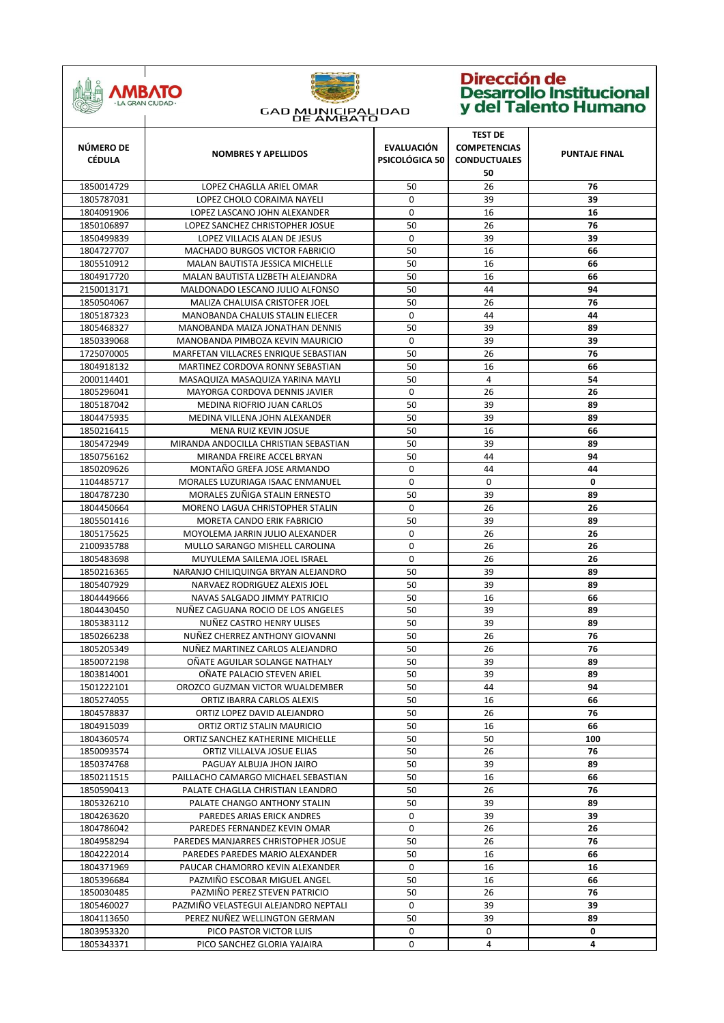

| NÚMERO DE<br><b>CÉDULA</b> | <b>NOMBRES Y APELLIDOS</b>                                 | <b>EVALUACIÓN</b><br>PSICOLÓGICA 50 | <b>TEST DE</b><br><b>COMPETENCIAS</b><br><b>CONDUCTUALES</b><br>50 | <b>PUNTAJE FINAL</b> |
|----------------------------|------------------------------------------------------------|-------------------------------------|--------------------------------------------------------------------|----------------------|
| 1850014729                 | LOPEZ CHAGLLA ARIEL OMAR                                   | 50                                  | 26                                                                 | 76                   |
| 1805787031                 | LOPEZ CHOLO CORAIMA NAYELI                                 | 0                                   | 39                                                                 | 39                   |
| 1804091906                 | LOPEZ LASCANO JOHN ALEXANDER                               | 0                                   | 16                                                                 | 16                   |
| 1850106897                 | LOPEZ SANCHEZ CHRISTOPHER JOSUE                            | 50                                  | 26                                                                 | 76                   |
| 1850499839                 | LOPEZ VILLACIS ALAN DE JESUS                               | $\Omega$                            | 39                                                                 | 39                   |
| 1804727707                 | <b>MACHADO BURGOS VICTOR FABRICIO</b>                      | 50                                  | 16                                                                 | 66                   |
| 1805510912                 | MALAN BAUTISTA JESSICA MICHELLE                            | 50                                  | 16                                                                 | 66                   |
| 1804917720                 | MALAN BAUTISTA LIZBETH ALEJANDRA                           | 50                                  | 16                                                                 | 66                   |
| 2150013171                 | MALDONADO LESCANO JULIO ALFONSO                            | 50                                  | 44                                                                 | 94                   |
| 1850504067                 | MALIZA CHALUISA CRISTOFER JOEL                             | 50                                  | 26                                                                 | 76                   |
| 1805187323                 | MANOBANDA CHALUIS STALIN ELIECER                           | 0                                   | 44                                                                 | 44                   |
| 1805468327                 | MANOBANDA MAIZA JONATHAN DENNIS                            | 50                                  | 39                                                                 | 89                   |
| 1850339068                 | MANOBANDA PIMBOZA KEVIN MAURICIO                           | 0                                   | 39                                                                 | 39                   |
| 1725070005                 | MARFETAN VILLACRES ENRIQUE SEBASTIAN                       | 50                                  | 26                                                                 | 76                   |
| 1804918132                 | MARTINEZ CORDOVA RONNY SEBASTIAN                           | 50                                  | 16                                                                 | 66                   |
| 2000114401                 | MASAQUIZA MASAQUIZA YARINA MAYLI                           | 50                                  | 4                                                                  | 54                   |
| 1805296041                 | <b>MAYORGA CORDOVA DENNIS JAVIER</b>                       | $\Omega$                            | 26                                                                 | 26                   |
| 1805187042                 | MEDINA RIOFRIO JUAN CARLOS                                 | 50                                  | 39                                                                 | 89                   |
| 1804475935                 | MEDINA VILLENA JOHN ALEXANDER                              | 50                                  | 39                                                                 | 89                   |
| 1850216415                 | MENA RUIZ KEVIN JOSUE                                      | 50                                  | 16                                                                 | 66                   |
| 1805472949                 | MIRANDA ANDOCILLA CHRISTIAN SEBASTIAN                      | 50                                  | 39                                                                 | 89                   |
| 1850756162                 | MIRANDA FREIRE ACCEL BRYAN                                 | 50                                  | 44                                                                 | 94                   |
| 1850209626                 | MONTAÑO GREFA JOSE ARMANDO                                 | 0                                   | 44                                                                 | 44                   |
| 1104485717                 | MORALES LUZURIAGA ISAAC ENMANUEL                           | 0                                   | 0                                                                  | 0                    |
| 1804787230                 | MORALES ZUÑIGA STALIN ERNESTO                              | 50                                  | 39                                                                 | 89                   |
| 1804450664                 | MORENO LAGUA CHRISTOPHER STALIN                            | $\mathbf 0$                         | 26                                                                 | 26                   |
| 1805501416                 | MORETA CANDO ERIK FABRICIO                                 | 50                                  | 39                                                                 | 89                   |
| 1805175625                 | MOYOLEMA JARRIN JULIO ALEXANDER                            | 0                                   | 26                                                                 | 26                   |
| 2100935788                 | MULLO SARANGO MISHELL CAROLINA                             | $\mathbf 0$                         | 26                                                                 | 26                   |
| 1805483698                 | MUYULEMA SAILEMA JOEL ISRAEL                               | $\mathbf 0$                         | 26                                                                 | 26                   |
| 1850216365                 | NARANJO CHILIQUINGA BRYAN ALEJANDRO                        | 50                                  | 39                                                                 | 89                   |
| 1805407929                 | NARVAEZ RODRIGUEZ ALEXIS JOEL                              | 50                                  | 39                                                                 | 89                   |
| 1804449666                 | NAVAS SALGADO JIMMY PATRICIO                               | 50                                  | 16                                                                 | 66                   |
| 1804430450                 | NUÑEZ CAGUANA ROCIO DE LOS ANGELES                         | 50                                  | 39                                                                 | 89                   |
| 1805383112                 | NUÑEZ CASTRO HENRY ULISES                                  | 50                                  | 39                                                                 | 89                   |
| 1850266238                 | NUÑEZ CHERREZ ANTHONY GIOVANNI                             | 50                                  | 26                                                                 | 76                   |
| 1805205349                 | NUÑEZ MARTINEZ CARLOS ALEJANDRO                            | 50                                  | 26                                                                 | 76                   |
| 1850072198                 | OÑATE AGUILAR SOLANGE NATHALY                              | 50                                  | 39                                                                 | 89                   |
| 1803814001                 | OÑATE PALACIO STEVEN ARIEL                                 | 50                                  | 39                                                                 | 89                   |
| 1501222101                 | OROZCO GUZMAN VICTOR WUALDEMBER                            | 50                                  | 44                                                                 | 94                   |
| 1805274055                 | ORTIZ IBARRA CARLOS ALEXIS                                 | 50<br>50                            | 16<br>26                                                           | 66<br>76             |
| 1804578837<br>1804915039   | ORTIZ LOPEZ DAVID ALEJANDRO<br>ORTIZ ORTIZ STALIN MAURICIO | 50                                  | 16                                                                 | 66                   |
| 1804360574                 | ORTIZ SANCHEZ KATHERINE MICHELLE                           | 50                                  | 50                                                                 | 100                  |
| 1850093574                 | ORTIZ VILLALVA JOSUE ELIAS                                 | 50                                  | 26                                                                 | 76                   |
| 1850374768                 | PAGUAY ALBUJA JHON JAIRO                                   | 50                                  | 39                                                                 | 89                   |
| 1850211515                 | PAILLACHO CAMARGO MICHAEL SEBASTIAN                        | 50                                  | 16                                                                 | 66                   |
| 1850590413                 | PALATE CHAGLLA CHRISTIAN LEANDRO                           | 50                                  | 26                                                                 | 76                   |
| 1805326210                 | PALATE CHANGO ANTHONY STALIN                               | 50                                  | 39                                                                 | 89                   |
| 1804263620                 | PAREDES ARIAS ERICK ANDRES                                 | 0                                   | 39                                                                 | 39                   |
| 1804786042                 | PAREDES FERNANDEZ KEVIN OMAR                               | 0                                   | 26                                                                 | 26                   |
| 1804958294                 | PAREDES MANJARRES CHRISTOPHER JOSUE                        | 50                                  | 26                                                                 | 76                   |
| 1804222014                 | PAREDES PAREDES MARIO ALEXANDER                            | 50                                  | 16                                                                 | 66                   |
| 1804371969                 | PAUCAR CHAMORRO KEVIN ALEXANDER                            | $\mathbf 0$                         | 16                                                                 | 16                   |
| 1805396684                 | PAZMIÑO ESCOBAR MIGUEL ANGEL                               | 50                                  | 16                                                                 | 66                   |
| 1850030485                 | PAZMIÑO PEREZ STEVEN PATRICIO                              | 50                                  | 26                                                                 | 76                   |
| 1805460027                 | PAZMIÑO VELASTEGUI ALEJANDRO NEPTALI                       | 0                                   | 39                                                                 | 39                   |
| 1804113650                 | PEREZ NUÑEZ WELLINGTON GERMAN                              | 50                                  | 39                                                                 | 89                   |
| 1803953320                 | PICO PASTOR VICTOR LUIS                                    | 0                                   | 0                                                                  | 0                    |
| 1805343371                 | PICO SANCHEZ GLORIA YAJAIRA                                | 0                                   | 4                                                                  | 4                    |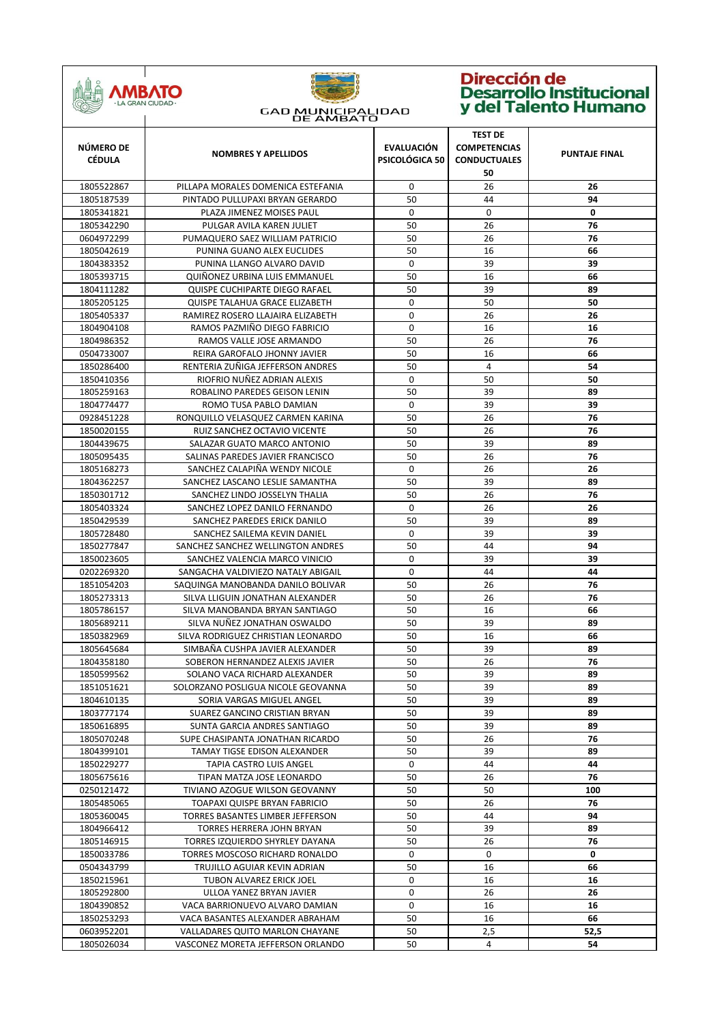

| NÚMERO DE<br><b>CÉDULA</b> | <b>NOMBRES Y APELLIDOS</b>         | <b>EVALUACIÓN</b><br>PSICOLÓGICA 50 | <b>TEST DE</b><br><b>COMPETENCIAS</b><br><b>CONDUCTUALES</b><br>50 | <b>PUNTAJE FINAL</b> |
|----------------------------|------------------------------------|-------------------------------------|--------------------------------------------------------------------|----------------------|
| 1805522867                 | PILLAPA MORALES DOMENICA ESTEFANIA | 0                                   | 26                                                                 | 26                   |
| 1805187539                 | PINTADO PULLUPAXI BRYAN GERARDO    | 50                                  | 44                                                                 | 94                   |
| 1805341821                 | PLAZA JIMENEZ MOISES PAUL          | 0                                   | 0                                                                  | 0                    |
| 1805342290                 | PULGAR AVILA KAREN JULIET          | 50                                  | 26                                                                 | 76                   |
| 0604972299                 | PUMAQUERO SAEZ WILLIAM PATRICIO    | 50                                  | 26                                                                 | 76                   |
| 1805042619                 | PUNINA GUANO ALEX EUCLIDES         | 50                                  | 16                                                                 | 66                   |
| 1804383352                 | PUNINA LLANGO ALVARO DAVID         | 0                                   | 39                                                                 | 39                   |
| 1805393715                 | QUIÑONEZ URBINA LUIS EMMANUEL      | 50                                  | 16                                                                 | 66                   |
| 1804111282                 | QUISPE CUCHIPARTE DIEGO RAFAEL     | 50                                  | 39                                                                 | 89                   |
| 1805205125                 | QUISPE TALAHUA GRACE ELIZABETH     | $\mathbf 0$                         | 50                                                                 | 50                   |
| 1805405337                 | RAMIREZ ROSERO LLAJAIRA ELIZABETH  | $\mathbf 0$                         | 26                                                                 | 26                   |
| 1804904108                 | RAMOS PAZMIÑO DIEGO FABRICIO       | $\mathbf 0$                         | 16                                                                 | 16                   |
| 1804986352                 | RAMOS VALLE JOSE ARMANDO           | 50                                  | 26                                                                 | 76                   |
| 0504733007                 | REIRA GAROFALO JHONNY JAVIER       | 50                                  | 16                                                                 | 66                   |
| 1850286400                 | RENTERIA ZUÑIGA JEFFERSON ANDRES   | 50                                  | 4                                                                  | 54                   |
| 1850410356                 | RIOFRIO NUÑEZ ADRIAN ALEXIS        | 0                                   | 50                                                                 | 50                   |
| 1805259163                 | ROBALINO PAREDES GEISON LENIN      | 50                                  | 39                                                                 | 89                   |
| 1804774477                 | ROMO TUSA PABLO DAMIAN             | $\mathbf 0$                         | 39                                                                 | 39                   |
| 0928451228                 | RONQUILLO VELASQUEZ CARMEN KARINA  | 50                                  | 26                                                                 | 76                   |
| 1850020155                 | RUIZ SANCHEZ OCTAVIO VICENTE       | 50                                  | 26                                                                 | 76                   |
| 1804439675                 | SALAZAR GUATO MARCO ANTONIO        | 50                                  | 39                                                                 | 89                   |
| 1805095435                 | SALINAS PAREDES JAVIER FRANCISCO   | 50                                  | 26                                                                 | 76                   |
| 1805168273                 | SANCHEZ CALAPIÑA WENDY NICOLE      | 0                                   | 26                                                                 | 26                   |
| 1804362257                 | SANCHEZ LASCANO LESLIE SAMANTHA    | 50                                  | 39                                                                 | 89                   |
| 1850301712                 | SANCHEZ LINDO JOSSELYN THALIA      | 50                                  | 26                                                                 | 76                   |
| 1805403324                 | SANCHEZ LOPEZ DANILO FERNANDO      | $\mathbf 0$                         | 26                                                                 | 26                   |
| 1850429539                 | SANCHEZ PAREDES ERICK DANILO       | 50                                  | 39                                                                 | 89                   |
| 1805728480                 | SANCHEZ SAILEMA KEVIN DANIEL       | 0                                   | 39                                                                 | 39                   |
| 1850277847                 | SANCHEZ SANCHEZ WELLINGTON ANDRES  | 50                                  | 44                                                                 | 94                   |
| 1850023605                 | SANCHEZ VALENCIA MARCO VINICIO     | $\mathbf 0$                         | 39                                                                 | 39                   |
| 0202269320                 | SANGACHA VALDIVIEZO NATALY ABIGAIL | 0                                   | 44                                                                 | 44                   |
| 1851054203                 | SAQUINGA MANOBANDA DANILO BOLIVAR  | 50                                  | 26                                                                 | 76                   |
| 1805273313                 | SILVA LLIGUIN JONATHAN ALEXANDER   | 50                                  | 26                                                                 | 76                   |
| 1805786157                 | SILVA MANOBANDA BRYAN SANTIAGO     | 50                                  | 16                                                                 | 66                   |
| 1805689211                 | SILVA NUÑEZ JONATHAN OSWALDO       | 50                                  | 39                                                                 | 89                   |
| 1850382969                 | SILVA RODRIGUEZ CHRISTIAN LEONARDO | 50                                  | 16                                                                 | 66                   |
| 1805645684                 | SIMBAÑA CUSHPA JAVIER ALEXANDER    | 50                                  | 39                                                                 | 89                   |
| 1804358180                 | SOBERON HERNANDEZ ALEXIS JAVIER    | 50                                  | 26                                                                 | 76                   |
| 1850599562                 | SOLANO VACA RICHARD ALEXANDER      | 50                                  | 39                                                                 | 89                   |
| 1851051621                 | SOLORZANO POSLIGUA NICOLE GEOVANNA | 50                                  | 39                                                                 | 89                   |
| 1804610135                 | SORIA VARGAS MIGUEL ANGEL          | 50                                  | 39                                                                 | 89                   |
| 1803777174                 | SUAREZ GANCINO CRISTIAN BRYAN      | 50                                  | 39                                                                 | 89                   |
| 1850616895                 | SUNTA GARCIA ANDRES SANTIAGO       | 50                                  | 39                                                                 | 89                   |
| 1805070248                 | SUPE CHASIPANTA JONATHAN RICARDO   | 50                                  | 26                                                                 | 76                   |
| 1804399101                 | TAMAY TIGSE EDISON ALEXANDER       | 50                                  | 39                                                                 | 89                   |
| 1850229277                 | TAPIA CASTRO LUIS ANGEL            | 0                                   | 44                                                                 | 44                   |
| 1805675616                 | TIPAN MATZA JOSE LEONARDO          | 50                                  | 26                                                                 | 76                   |
| 0250121472                 | TIVIANO AZOGUE WILSON GEOVANNY     | 50                                  | 50                                                                 | 100                  |
| 1805485065                 | TOAPAXI QUISPE BRYAN FABRICIO      | 50                                  | 26                                                                 | 76                   |
| 1805360045                 | TORRES BASANTES LIMBER JEFFERSON   | 50                                  | 44                                                                 | 94                   |
| 1804966412                 | TORRES HERRERA JOHN BRYAN          | 50                                  | 39                                                                 | 89                   |
| 1805146915                 | TORRES IZQUIERDO SHYRLEY DAYANA    | 50                                  | 26                                                                 | 76                   |
| 1850033786                 | TORRES MOSCOSO RICHARD RONALDO     | 0                                   | 0                                                                  | 0                    |
| 0504343799                 | TRUJILLO AGUIAR KEVIN ADRIAN       | 50                                  | 16                                                                 | 66                   |
| 1850215961                 | TUBON ALVAREZ ERICK JOEL           | 0                                   | 16                                                                 | 16                   |
| 1805292800                 | ULLOA YANEZ BRYAN JAVIER           | 0                                   | 26                                                                 | 26                   |
| 1804390852                 | VACA BARRIONUEVO ALVARO DAMIAN     | 0                                   | 16                                                                 | 16                   |
| 1850253293                 | VACA BASANTES ALEXANDER ABRAHAM    | 50                                  | 16                                                                 | 66                   |
| 0603952201                 | VALLADARES QUITO MARLON CHAYANE    | 50                                  | 2,5                                                                | 52,5                 |
| 1805026034                 | VASCONEZ MORETA JEFFERSON ORLANDO  | 50                                  | 4                                                                  | 54                   |